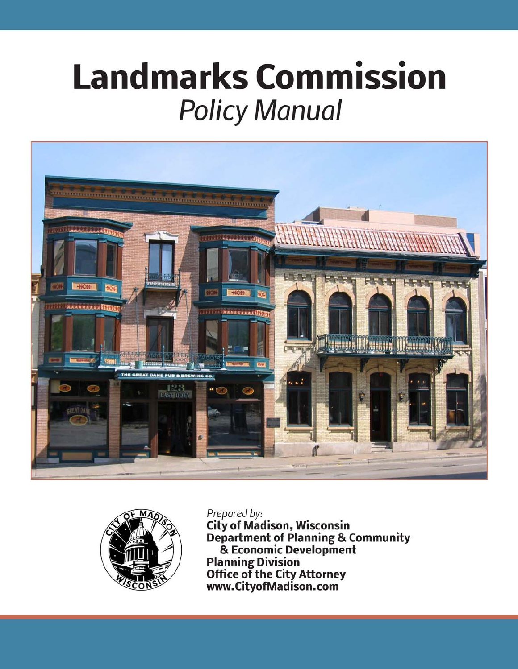# **Landmarks Commission Policy Manual**





Prepared by:

**City of Madison, Wisconsin Department of Planning & Community<br>& Economic Development** Planning Division<br>Office of the City Attorney<br>www.CityofMadison.com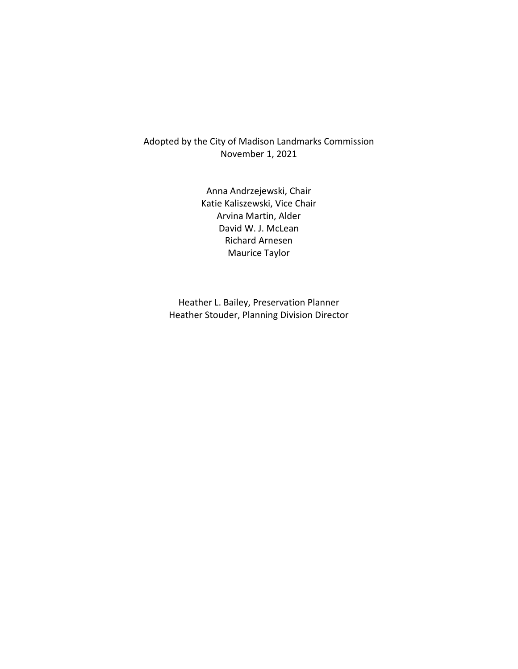#### Adopted by the City of Madison Landmarks Commission November 1, 2021

Anna Andrzejewski, Chair Katie Kaliszewski, Vice Chair Arvina Martin, Alder David W. J. McLean Richard Arnesen Maurice Taylor

Heather L. Bailey, Preservation Planner Heather Stouder, Planning Division Director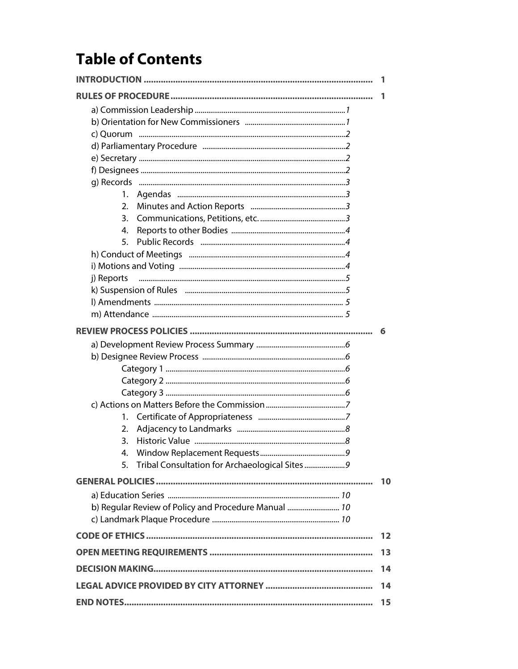### **Table of Contents**

|                                                      | 1                 |
|------------------------------------------------------|-------------------|
|                                                      | 1                 |
|                                                      |                   |
|                                                      |                   |
|                                                      |                   |
|                                                      |                   |
|                                                      |                   |
|                                                      |                   |
|                                                      |                   |
| 1.                                                   |                   |
| 2.                                                   |                   |
| 3.                                                   |                   |
| 4.                                                   |                   |
| 5.                                                   |                   |
|                                                      |                   |
|                                                      |                   |
| j) Reports                                           |                   |
|                                                      |                   |
|                                                      |                   |
|                                                      |                   |
|                                                      | -6                |
|                                                      |                   |
|                                                      |                   |
|                                                      |                   |
|                                                      |                   |
|                                                      |                   |
|                                                      |                   |
| 1.                                                   |                   |
| 2.                                                   |                   |
| 3.                                                   |                   |
| 4.                                                   |                   |
| 5. Tribal Consultation for Archaeological Sites9     |                   |
|                                                      | 10                |
|                                                      |                   |
| b) Regular Review of Policy and Procedure Manual  10 |                   |
|                                                      |                   |
|                                                      | $12 \overline{ }$ |
|                                                      | 13                |
| 14                                                   |                   |
|                                                      | 14                |
|                                                      | 15                |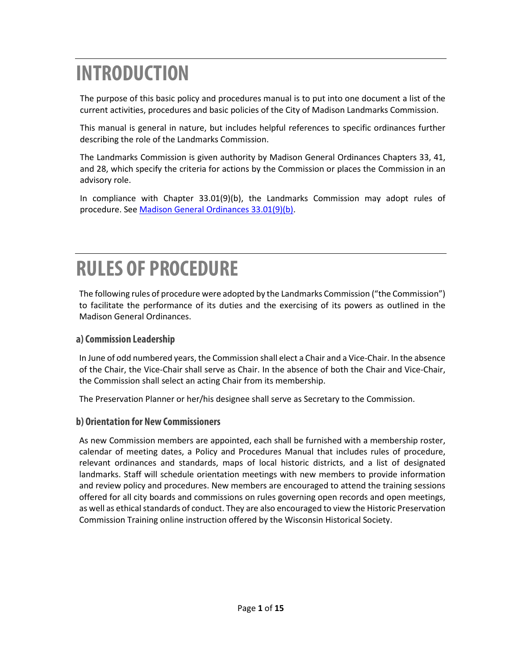### **INTRODUCTION**

The purpose of this basic policy and procedures manual is to put into one document a list of the current activities, procedures and basic policies of the City of Madison Landmarks Commission.

This manual is general in nature, but includes helpful references to specific ordinances further describing the role of the Landmarks Commission.

The Landmarks Commission is given authority by Madison General Ordinances Chapters 33, 41, and 28, which specify the criteria for actions by the Commission or places the Commission in an advisory role.

In compliance with Chapter 33.01(9)(b), the Landmarks Commission may adopt rules of procedure. Se[e Madison General Ordinances 33.01\(9\)\(b\).](https://library.municode.com/wi/madison/codes/code_of_ordinances)

### **RULES OF PROCEDURE**

The following rules of procedure were adopted by the Landmarks Commission ("the Commission") to facilitate the performance of its duties and the exercising of its powers as outlined in the Madison General Ordinances.

#### **a) Commission Leadership**

In June of odd numbered years, the Commission shall elect a Chair and a Vice-Chair. In the absence of the Chair, the Vice-Chair shall serve as Chair. In the absence of both the Chair and Vice-Chair, the Commission shall select an acting Chair from its membership.

The Preservation Planner or her/his designee shall serve as Secretary to the Commission.

#### **b) Orientation for New Commissioners**

As new Commission members are appointed, each shall be furnished with a membership roster, calendar of meeting dates, a Policy and Procedures Manual that includes rules of procedure, relevant ordinances and standards, maps of local historic districts, and a list of designated landmarks. Staff will schedule orientation meetings with new members to provide information and review policy and procedures. New members are encouraged to attend the training sessions offered for all city boards and commissions on rules governing open records and open meetings, as well as ethical standards of conduct. They are also encouraged to view the Historic Preservation Commission Training online instruction offered by the Wisconsin Historical Society.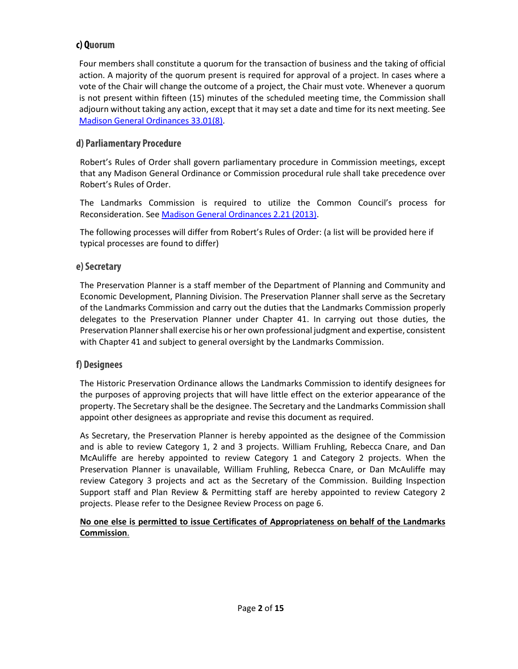#### **c) Quorum**

Four members shall constitute a quorum for the transaction of business and the taking of official action. A majority of the quorum present is required for approval of a project. In cases where a vote of the Chair will change the outcome of a project, the Chair must vote. Whenever a quorum is not present within fifteen (15) minutes of the scheduled meeting time, the Commission shall adjourn without taking any action, except that it may set a date and time for its next meeting. See [Madison General Ordinances 33.01\(8\).](http://library.municode.com/index.aspx?clientId=50000)

#### **d) Parliamentary Procedure**

Robert's Rules of Order shall govern parliamentary procedure in Commission meetings, except that any Madison General Ordinance or Commission procedural rule shall take precedence over Robert's Rules of Order.

The Landmarks Commission is required to utilize the Common Council's process for Reconsideration. See [Madison General Ordinances](http://library.municode.com/index.aspx?clientId=50000) 2.21 (2013).

The following processes will differ from Robert's Rules of Order: (a list will be provided here if typical processes are found to differ)

#### **e) Secretary**

The Preservation Planner is a staff member of the Department of Planning and Community and Economic Development, Planning Division. The Preservation Planner shall serve as the Secretary of the Landmarks Commission and carry out the duties that the Landmarks Commission properly delegates to the Preservation Planner under Chapter 41. In carrying out those duties, the Preservation Planner shall exercise his or her own professional judgment and expertise, consistent with Chapter 41 and subject to general oversight by the Landmarks Commission.

#### **f) Designees**

The Historic Preservation Ordinance allows the Landmarks Commission to identify designees for the purposes of approving projects that will have little effect on the exterior appearance of the property. The Secretary shall be the designee. The Secretary and the Landmarks Commission shall appoint other designees as appropriate and revise this document as required.

As Secretary, the Preservation Planner is hereby appointed as the designee of the Commission and is able to review Category 1, 2 and 3 projects. William Fruhling, Rebecca Cnare, and Dan McAuliffe are hereby appointed to review Category 1 and Category 2 projects. When the Preservation Planner is unavailable, William Fruhling, Rebecca Cnare, or Dan McAuliffe may review Category 3 projects and act as the Secretary of the Commission. Building Inspection Support staff and Plan Review & Permitting staff are hereby appointed to review Category 2 projects. Please refer to the Designee Review Process on page 6.

#### **No one else is permitted to issue Certificates of Appropriateness on behalf of the Landmarks Commission**.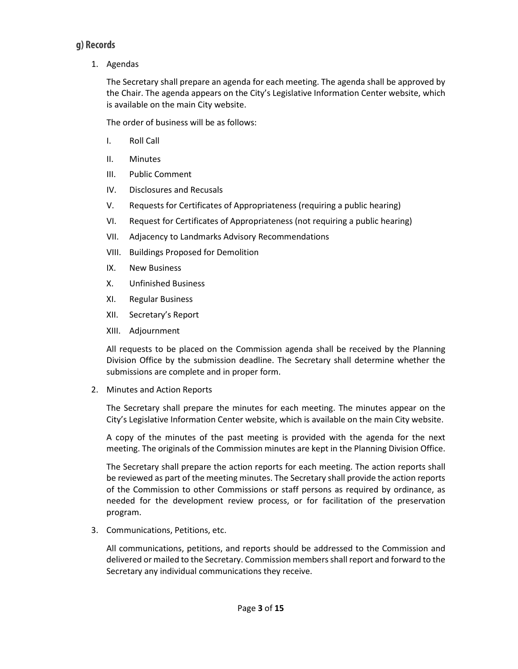#### **g) Records**

1. Agendas

The Secretary shall prepare an agenda for each meeting. The agenda shall be approved by the Chair. The agenda appears on the City's Legislative Information Center website, which is available on the main City website.

The order of business will be as follows:

- I. Roll Call
- II. Minutes
- III. Public Comment
- IV. Disclosures and Recusals
- V. Requests for Certificates of Appropriateness (requiring a public hearing)
- VI. Request for Certificates of Appropriateness (not requiring a public hearing)
- VII. Adjacency to Landmarks Advisory Recommendations
- VIII. Buildings Proposed for Demolition
- IX. New Business
- X. Unfinished Business
- XI. Regular Business
- XII. Secretary's Report
- XIII. Adjournment

All requests to be placed on the Commission agenda shall be received by the Planning Division Office by the submission deadline. The Secretary shall determine whether the submissions are complete and in proper form.

2. Minutes and Action Reports

The Secretary shall prepare the minutes for each meeting. The minutes appear on the City's Legislative Information Center website, which is available on the main City website.

A copy of the minutes of the past meeting is provided with the agenda for the next meeting. The originals of the Commission minutes are kept in the Planning Division Office.

The Secretary shall prepare the action reports for each meeting. The action reports shall be reviewed as part of the meeting minutes. The Secretary shall provide the action reports of the Commission to other Commissions or staff persons as required by ordinance, as needed for the development review process, or for facilitation of the preservation program.

3. Communications, Petitions, etc.

All communications, petitions, and reports should be addressed to the Commission and delivered or mailed to the Secretary. Commission members shall report and forward to the Secretary any individual communications they receive.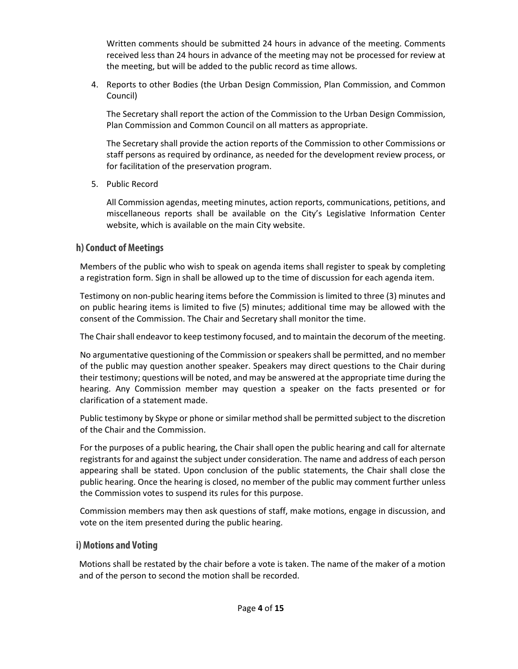Written comments should be submitted 24 hours in advance of the meeting. Comments received less than 24 hours in advance of the meeting may not be processed for review at the meeting, but will be added to the public record as time allows.

 4. Reports to other Bodies (the Urban Design Commission, Plan Commission, and Common Council)

The Secretary shall report the action of the Commission to the Urban Design Commission, Plan Commission and Common Council on all matters as appropriate.

The Secretary shall provide the action reports of the Commission to other Commissions or staff persons as required by ordinance, as needed for the development review process, or for facilitation of the preservation program.

5. Public Record

All Commission agendas, meeting minutes, action reports, communications, petitions, and miscellaneous reports shall be available on the City's Legislative Information Center website, which is available on the main City website.

#### **h) Conduct of Meetings**

Members of the public who wish to speak on agenda items shall register to speak by completing a registration form. Sign in shall be allowed up to the time of discussion for each agenda item.

Testimony on non-public hearing items before the Commission is limited to three (3) minutes and on public hearing items is limited to five (5) minutes; additional time may be allowed with the consent of the Commission. The Chair and Secretary shall monitor the time.

The Chair shall endeavor to keep testimony focused, and to maintain the decorum of the meeting.

No argumentative questioning of the Commission or speakers shall be permitted, and no member of the public may question another speaker. Speakers may direct questions to the Chair during their testimony; questions will be noted, and may be answered at the appropriate time during the hearing. Any Commission member may question a speaker on the facts presented or for clarification of a statement made.

Public testimony by Skype or phone or similar method shall be permitted subject to the discretion of the Chair and the Commission.

For the purposes of a public hearing, the Chair shall open the public hearing and call for alternate registrants for and against the subject under consideration. The name and address of each person appearing shall be stated. Upon conclusion of the public statements, the Chair shall close the public hearing. Once the hearing is closed, no member of the public may comment further unless the Commission votes to suspend its rules for this purpose.

Commission members may then ask questions of staff, make motions, engage in discussion, and vote on the item presented during the public hearing.

#### **i) Motions and Voting**

Motions shall be restated by the chair before a vote is taken. The name of the maker of a motion and of the person to second the motion shall be recorded.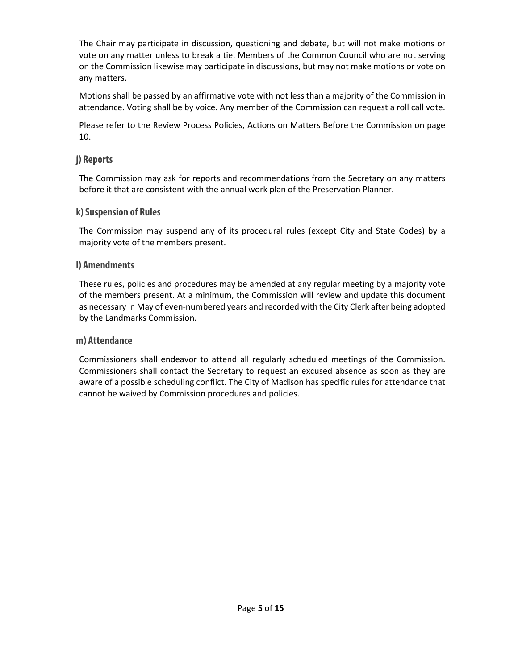The Chair may participate in discussion, questioning and debate, but will not make motions or vote on any matter unless to break a tie. Members of the Common Council who are not serving on the Commission likewise may participate in discussions, but may not make motions or vote on any matters.

Motions shall be passed by an affirmative vote with not less than a majority of the Commission in attendance. Voting shall be by voice. Any member of the Commission can request a roll call vote.

Please refer to the Review Process Policies, Actions on Matters Before the Commission on page 10.

#### **j) Reports**

The Commission may ask for reports and recommendations from the Secretary on any matters before it that are consistent with the annual work plan of the Preservation Planner.

#### **k)Suspension of Rules**

The Commission may suspend any of its procedural rules (except City and State Codes) by a majority vote of the members present.

#### **l) Amendments**

These rules, policies and procedures may be amended at any regular meeting by a majority vote of the members present. At a minimum, the Commission will review and update this document as necessary in May of even-numbered years and recorded with the City Clerk after being adopted by the Landmarks Commission.

#### **m) Attendance**

Commissioners shall endeavor to attend all regularly scheduled meetings of the Commission. Commissioners shall contact the Secretary to request an excused absence as soon as they are aware of a possible scheduling conflict. The City of Madison has specific rules for attendance that cannot be waived by Commission procedures and policies.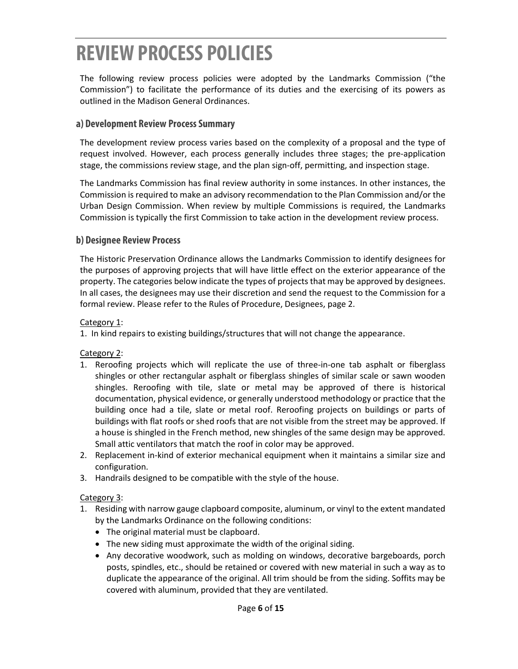### **REVIEW PROCESS POLICIES**

The following review process policies were adopted by the Landmarks Commission ("the Commission") to facilitate the performance of its duties and the exercising of its powers as outlined in the Madison General Ordinances.

#### **a) Development Review Process Summary**

The development review process varies based on the complexity of a proposal and the type of request involved. However, each process generally includes three stages; the pre-application stage, the commissions review stage, and the plan sign-off, permitting, and inspection stage.

The Landmarks Commission has final review authority in some instances. In other instances, the Commission is required to make an advisory recommendation to the Plan Commission and/or the Urban Design Commission. When review by multiple Commissions is required, the Landmarks Commission is typically the first Commission to take action in the development review process.

#### **b) Designee Review Process**

The Historic Preservation Ordinance allows the Landmarks Commission to identify designees for the purposes of approving projects that will have little effect on the exterior appearance of the property. The categories below indicate the types of projects that may be approved by designees. In all cases, the designees may use their discretion and send the request to the Commission for a formal review. Please refer to the Rules of Procedure, Designees, page 2.

#### Category 1:

1. In kind repairs to existing buildings/structures that will not change the appearance.

Category 2:

- 1. Reroofing projects which will replicate the use of three-in-one tab asphalt or fiberglass shingles or other rectangular asphalt or fiberglass shingles of similar scale or sawn wooden shingles. Reroofing with tile, slate or metal may be approved of there is historical documentation, physical evidence, or generally understood methodology or practice that the building once had a tile, slate or metal roof. Reroofing projects on buildings or parts of buildings with flat roofs or shed roofs that are not visible from the street may be approved. If a house is shingled in the French method, new shingles of the same design may be approved. Small attic ventilators that match the roof in color may be approved.
- 2. Replacement in-kind of exterior mechanical equipment when it maintains a similar size and configuration.
- 3. Handrails designed to be compatible with the style of the house.

#### Category 3:

- 1. Residing with narrow gauge clapboard composite, aluminum, or vinyl to the extent mandated by the Landmarks Ordinance on the following conditions:
	- The original material must be clapboard.
	- The new siding must approximate the width of the original siding.
	- Any decorative woodwork, such as molding on windows, decorative bargeboards, porch posts, spindles, etc., should be retained or covered with new material in such a way as to duplicate the appearance of the original. All trim should be from the siding. Soffits may be covered with aluminum, provided that they are ventilated.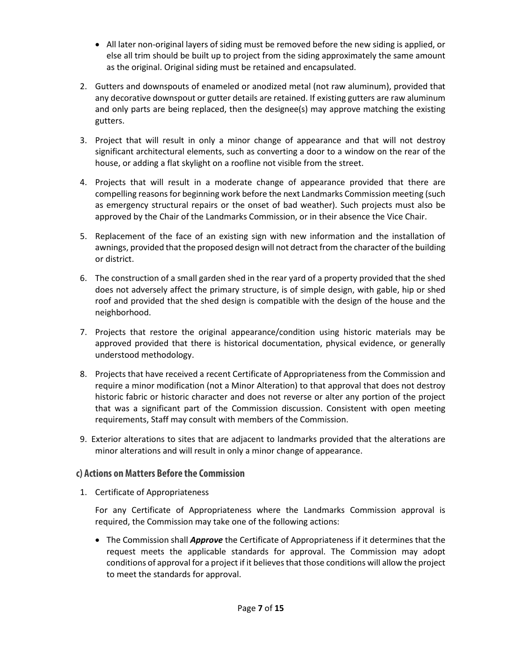- All later non-original layers of siding must be removed before the new siding is applied, or else all trim should be built up to project from the siding approximately the same amount as the original. Original siding must be retained and encapsulated.
- 2. Gutters and downspouts of enameled or anodized metal (not raw aluminum), provided that any decorative downspout or gutter details are retained. If existing gutters are raw aluminum and only parts are being replaced, then the designee(s) may approve matching the existing gutters.
- 3. Project that will result in only a minor change of appearance and that will not destroy significant architectural elements, such as converting a door to a window on the rear of the house, or adding a flat skylight on a roofline not visible from the street.
- 4. Projects that will result in a moderate change of appearance provided that there are compelling reasons for beginning work before the next Landmarks Commission meeting (such as emergency structural repairs or the onset of bad weather). Such projects must also be approved by the Chair of the Landmarks Commission, or in their absence the Vice Chair.
- 5. Replacement of the face of an existing sign with new information and the installation of awnings, provided that the proposed design will not detract from the character of the building or district.
- 6. The construction of a small garden shed in the rear yard of a property provided that the shed does not adversely affect the primary structure, is of simple design, with gable, hip or shed roof and provided that the shed design is compatible with the design of the house and the neighborhood.
- 7. Projects that restore the original appearance/condition using historic materials may be approved provided that there is historical documentation, physical evidence, or generally understood methodology.
- 8. Projects that have received a recent Certificate of Appropriateness from the Commission and require a minor modification (not a Minor Alteration) to that approval that does not destroy historic fabric or historic character and does not reverse or alter any portion of the project that was a significant part of the Commission discussion. Consistent with open meeting requirements, Staff may consult with members of the Commission.
- 9. Exterior alterations to sites that are adjacent to landmarks provided that the alterations are minor alterations and will result in only a minor change of appearance.

#### **c) Actions on Matters Before the Commission**

1. Certificate of Appropriateness

For any Certificate of Appropriateness where the Landmarks Commission approval is required, the Commission may take one of the following actions:

• The Commission shall *Approve* the Certificate of Appropriateness if it determines that the request meets the applicable standards for approval. The Commission may adopt conditions of approval for a project if it believes that those conditions will allow the project to meet the standards for approval.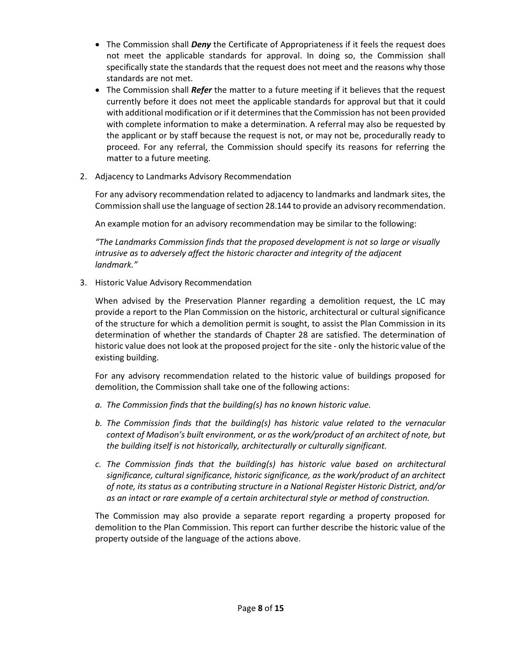- The Commission shall *Deny* the Certificate of Appropriateness if it feels the request does not meet the applicable standards for approval. In doing so, the Commission shall specifically state the standards that the request does not meet and the reasons why those standards are not met.
- The Commission shall *Refer* the matter to a future meeting if it believes that the request currently before it does not meet the applicable standards for approval but that it could with additional modification or if it determines that the Commission has not been provided with complete information to make a determination. A referral may also be requested by the applicant or by staff because the request is not, or may not be, procedurally ready to proceed. For any referral, the Commission should specify its reasons for referring the matter to a future meeting.
- 2. Adjacency to Landmarks Advisory Recommendation

 For any advisory recommendation related to adjacency to landmarks and landmark sites, the Commission shall use the language of section 28.144 to provide an advisory recommendation.

An example motion for an advisory recommendation may be similar to the following:

*"The Landmarks Commission finds that the proposed development is not so large or visually intrusive as to adversely affect the historic character and integrity of the adjacent landmark."* 

3. Historic Value Advisory Recommendation

 When advised by the Preservation Planner regarding a demolition request, the LC may provide a report to the Plan Commission on the historic, architectural or cultural significance of the structure for which a demolition permit is sought, to assist the Plan Commission in its determination of whether the standards of Chapter 28 are satisfied. The determination of historic value does not look at the proposed project for the site - only the historic value of the existing building.

For any advisory recommendation related to the historic value of buildings proposed for demolition, the Commission shall take one of the following actions:

- *a. The Commission finds that the building(s) has no known historic value.*
- *b. The Commission finds that the building(s) has historic value related to the vernacular context of Madison's built environment, or as the work/product of an architect of note, but the building itself is not historically, architecturally or culturally significant.*
- *c. The Commission finds that the building(s) has historic value based on architectural significance, cultural significance, historic significance, as the work/product of an architect of note, its status as a contributing structure in a National Register Historic District, and/or as an intact or rare example of a certain architectural style or method of construction.*

The Commission may also provide a separate report regarding a property proposed for demolition to the Plan Commission. This report can further describe the historic value of the property outside of the language of the actions above.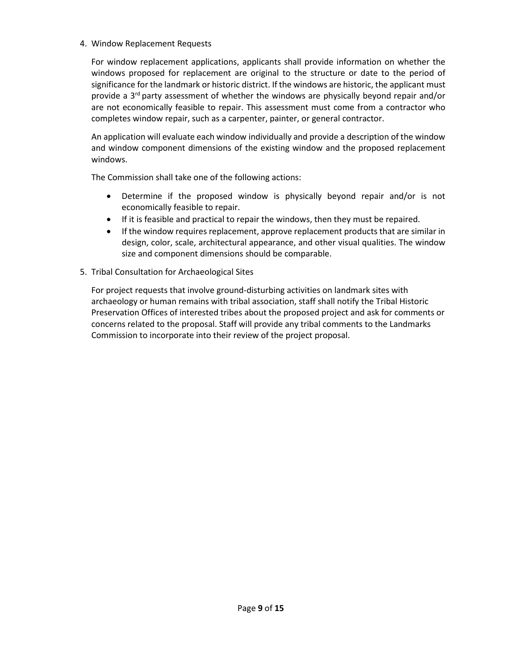#### 4. Window Replacement Requests

For window replacement applications, applicants shall provide information on whether the windows proposed for replacement are original to the structure or date to the period of significance for the landmark or historic district. If the windows are historic, the applicant must provide a 3<sup>rd</sup> party assessment of whether the windows are physically beyond repair and/or are not economically feasible to repair. This assessment must come from a contractor who completes window repair, such as a carpenter, painter, or general contractor.

An application will evaluate each window individually and provide a description of the window and window component dimensions of the existing window and the proposed replacement windows.

The Commission shall take one of the following actions:

- Determine if the proposed window is physically beyond repair and/or is not economically feasible to repair.
- If it is feasible and practical to repair the windows, then they must be repaired.
- If the window requires replacement, approve replacement products that are similar in design, color, scale, architectural appearance, and other visual qualities. The window size and component dimensions should be comparable.
- 5. Tribal Consultation for Archaeological Sites

For project requests that involve ground-disturbing activities on landmark sites with archaeology or human remains with tribal association, staff shall notify the Tribal Historic Preservation Offices of interested tribes about the proposed project and ask for comments or concerns related to the proposal. Staff will provide any tribal comments to the Landmarks Commission to incorporate into their review of the project proposal.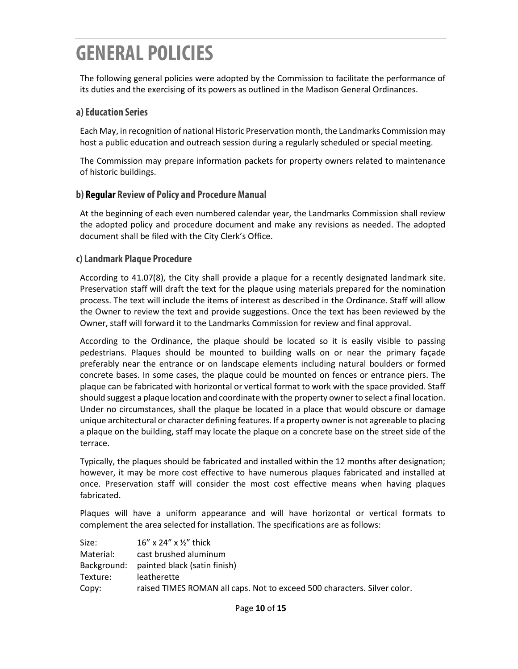### **GENERAL POLICIES**

The following general policies were adopted by the Commission to facilitate the performance of its duties and the exercising of its powers as outlined in the Madison General Ordinances.

#### **a) Education Series**

Each May, in recognition of national Historic Preservation month, the Landmarks Commission may host a public education and outreach session during a regularly scheduled or special meeting.

The Commission may prepare information packets for property owners related to maintenance of historic buildings.

#### **b) Regular Review of Policy and Procedure Manual**

At the beginning of each even numbered calendar year, the Landmarks Commission shall review the adopted policy and procedure document and make any revisions as needed. The adopted document shall be filed with the City Clerk's Office.

#### **c) Landmark Plaque Procedure**

According to 41.07(8), the City shall provide a plaque for a recently designated landmark site. Preservation staff will draft the text for the plaque using materials prepared for the nomination process. The text will include the items of interest as described in the Ordinance. Staff will allow the Owner to review the text and provide suggestions. Once the text has been reviewed by the Owner, staff will forward it to the Landmarks Commission for review and final approval.

According to the Ordinance, the plaque should be located so it is easily visible to passing pedestrians. Plaques should be mounted to building walls on or near the primary façade preferably near the entrance or on landscape elements including natural boulders or formed concrete bases. In some cases, the plaque could be mounted on fences or entrance piers. The plaque can be fabricated with horizontal or vertical format to work with the space provided. Staff should suggest a plaque location and coordinate with the property owner to select a final location. Under no circumstances, shall the plaque be located in a place that would obscure or damage unique architectural or character defining features. If a property owner is not agreeable to placing a plaque on the building, staff may locate the plaque on a concrete base on the street side of the terrace.

Typically, the plaques should be fabricated and installed within the 12 months after designation; however, it may be more cost effective to have numerous plaques fabricated and installed at once. Preservation staff will consider the most cost effective means when having plaques fabricated.

Plaques will have a uniform appearance and will have horizontal or vertical formats to complement the area selected for installation. The specifications are as follows:

| Size:     | $16''$ x 24" x $\frac{1}{2}$ " thick                                     |
|-----------|--------------------------------------------------------------------------|
| Material: | cast brushed aluminum                                                    |
|           | Background: painted black (satin finish)                                 |
| Texture:  | leatherette                                                              |
| Copy:     | raised TIMES ROMAN all caps. Not to exceed 500 characters. Silver color. |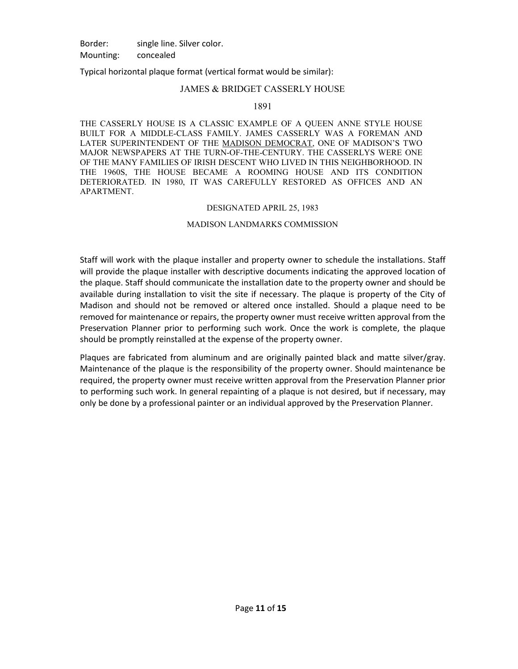Border: single line. Silver color. Mounting: concealed

Typical horizontal plaque format (vertical format would be similar):

#### JAMES & BRIDGET CASSERLY HOUSE

#### 1891

THE CASSERLY HOUSE IS A CLASSIC EXAMPLE OF A QUEEN ANNE STYLE HOUSE BUILT FOR A MIDDLE-CLASS FAMILY. JAMES CASSERLY WAS A FOREMAN AND LATER SUPERINTENDENT OF THE MADISON DEMOCRAT, ONE OF MADISON'S TWO MAJOR NEWSPAPERS AT THE TURN-OF-THE-CENTURY. THE CASSERLYS WERE ONE OF THE MANY FAMILIES OF IRISH DESCENT WHO LIVED IN THIS NEIGHBORHOOD. IN THE 1960S, THE HOUSE BECAME A ROOMING HOUSE AND ITS CONDITION DETERIORATED. IN 1980, IT WAS CAREFULLY RESTORED AS OFFICES AND AN APARTMENT.

#### DESIGNATED APRIL 25, 1983

#### MADISON LANDMARKS COMMISSION

Staff will work with the plaque installer and property owner to schedule the installations. Staff will provide the plaque installer with descriptive documents indicating the approved location of the plaque. Staff should communicate the installation date to the property owner and should be available during installation to visit the site if necessary. The plaque is property of the City of Madison and should not be removed or altered once installed. Should a plaque need to be removed for maintenance or repairs, the property owner must receive written approval from the Preservation Planner prior to performing such work. Once the work is complete, the plaque should be promptly reinstalled at the expense of the property owner.

Plaques are fabricated from aluminum and are originally painted black and matte silver/gray. Maintenance of the plaque is the responsibility of the property owner. Should maintenance be required, the property owner must receive written approval from the Preservation Planner prior to performing such work. In general repainting of a plaque is not desired, but if necessary, may only be done by a professional painter or an individual approved by the Preservation Planner.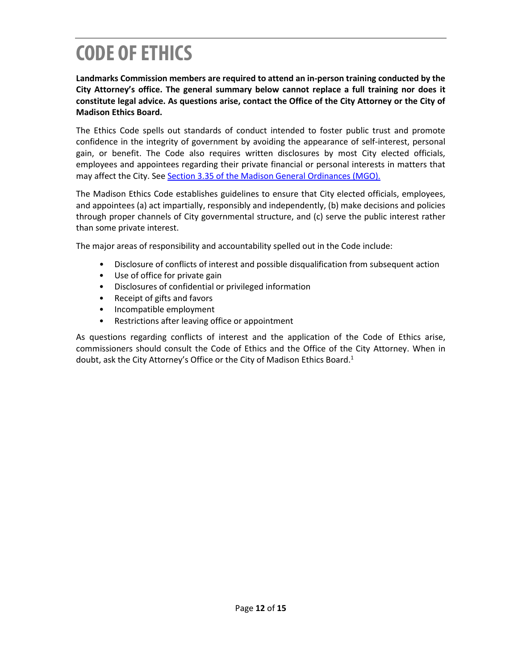## **CODE OF ETHICS**

**Landmarks Commission members are required to attend an in-person training conducted by the City Attorney's office. The general summary below cannot replace a full training nor does it constitute legal advice. As questions arise, contact the Office of the City Attorney or the City of Madison Ethics Board.**

The Ethics Code spells out standards of conduct intended to foster public trust and promote confidence in the integrity of government by avoiding the appearance of self-interest, personal gain, or benefit. The Code also requires written disclosures by most City elected officials, employees and appointees regarding their private financial or personal interests in matters that may affect the City. See Section [3.35 of the Madison General Ordinances \(MGO\).](http://studio524.net/how-to-choose-the-right-paint-colors-for-small-bedrooms/lovely-paint-colors-for-small-bedrooms/)

The Madison Ethics Code establishes guidelines to ensure that City elected officials, employees, and appointees (a) act impartially, responsibly and independently, (b) make decisions and policies through proper channels of City governmental structure, and (c) serve the public interest rather than some private interest.

The major areas of responsibility and accountability spelled out in the Code include:

- Disclosure of conflicts of interest and possible disqualification from subsequent action
- Use of office for private gain
- Disclosures of confidential or privileged information
- Receipt of gifts and favors
- Incompatible employment
- Restrictions after leaving office or appointment

As questions regarding conflicts of interest and the application of the Code of Ethics arise, commissioners should consult the Code of Ethics and the Office of the City Attorney. When in doubt, ask the City Attorney's Office or the City of Madison Ethics Board.<sup>1</sup>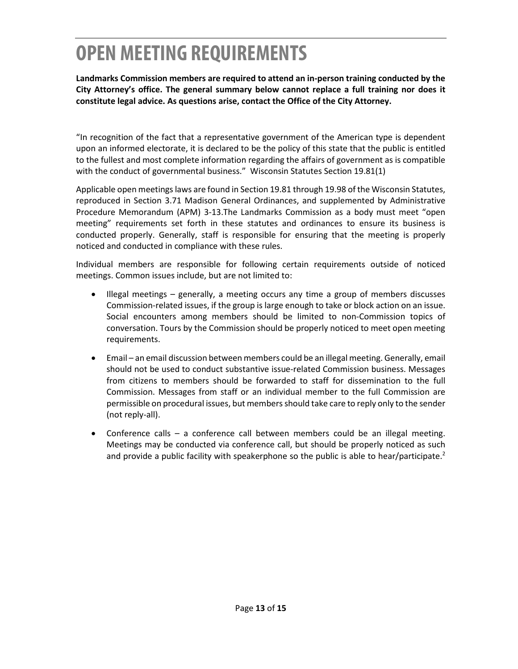### **OPEN MEETING REQUIREMENTS**

**Landmarks Commission members are required to attend an in-person training conducted by the City Attorney's office. The general summary below cannot replace a full training nor does it constitute legal advice. As questions arise, contact the Office of the City Attorney.**

"In recognition of the fact that a representative government of the American type is dependent upon an informed electorate, it is declared to be the policy of this state that the public is entitled to the fullest and most complete information regarding the affairs of government as is compatible with the conduct of governmental business." Wisconsin Statutes Section 19.81(1)

Applicable open meetings laws are found in Section 19.81 through 19.98 of the Wisconsin Statutes, reproduced in Section 3.71 Madison General Ordinances, and supplemented by Administrative Procedure Memorandum (APM) 3-13.The Landmarks Commission as a body must meet "open meeting" requirements set forth in these statutes and ordinances to ensure its business is conducted properly. Generally, staff is responsible for ensuring that the meeting is properly noticed and conducted in compliance with these rules.

Individual members are responsible for following certain requirements outside of noticed meetings. Common issues include, but are not limited to:

- Illegal meetings generally, a meeting occurs any time a group of members discusses Commission-related issues, if the group is large enough to take or block action on an issue. Social encounters among members should be limited to non-Commission topics of conversation. Tours by the Commission should be properly noticed to meet open meeting requirements.
- Email an email discussion between members could be an illegal meeting. Generally, email should not be used to conduct substantive issue-related Commission business. Messages from citizens to members should be forwarded to staff for dissemination to the full Commission. Messages from staff or an individual member to the full Commission are permissible on procedural issues, but members should take care to reply only to the sender (not reply-all).
- Conference calls a conference call between members could be an illegal meeting. Meetings may be conducted via conference call, but should be properly noticed as such and provide a public facility with speakerphone so the public is able to hear/participate.<sup>2</sup>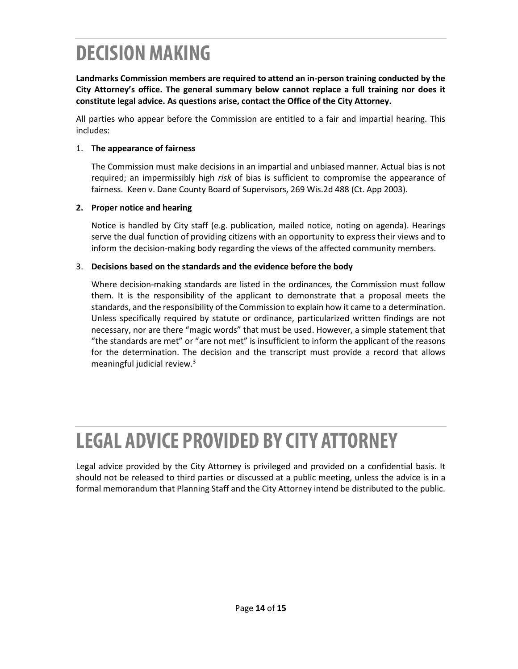### **DECISION MAKING**

**Landmarks Commission members are required to attend an in-person training conducted by the City Attorney's office. The general summary below cannot replace a full training nor does it constitute legal advice. As questions arise, contact the Office of the City Attorney.**

All parties who appear before the Commission are entitled to a fair and impartial hearing. This includes:

#### 1. **The appearance of fairness**

The Commission must make decisions in an impartial and unbiased manner. Actual bias is not required; an impermissibly high *risk* of bias is sufficient to compromise the appearance of fairness. Keen v. Dane County Board of Supervisors, 269 Wis.2d 488 (Ct. App 2003).

#### **2. Proper notice and hearing**

Notice is handled by City staff (e.g. publication, mailed notice, noting on agenda). Hearings serve the dual function of providing citizens with an opportunity to express their views and to inform the decision-making body regarding the views of the affected community members.

#### 3. **Decisions based on the standards and the evidence before the body**

Where decision-making standards are listed in the ordinances, the Commission must follow them. It is the responsibility of the applicant to demonstrate that a proposal meets the standards, and the responsibility of the Commission to explain how it came to a determination. Unless specifically required by statute or ordinance, particularized written findings are not necessary, nor are there "magic words" that must be used. However, a simple statement that "the standards are met" or "are not met" is insufficient to inform the applicant of the reasons for the determination. The decision and the transcript must provide a record that allows meaningful judicial review.3

### **LEGAL ADVICE PROVIDED BY CITY ATTORNEY**

Legal advice provided by the City Attorney is privileged and provided on a confidential basis. It should not be released to third parties or discussed at a public meeting, unless the advice is in a formal memorandum that Planning Staff and the City Attorney intend be distributed to the public.